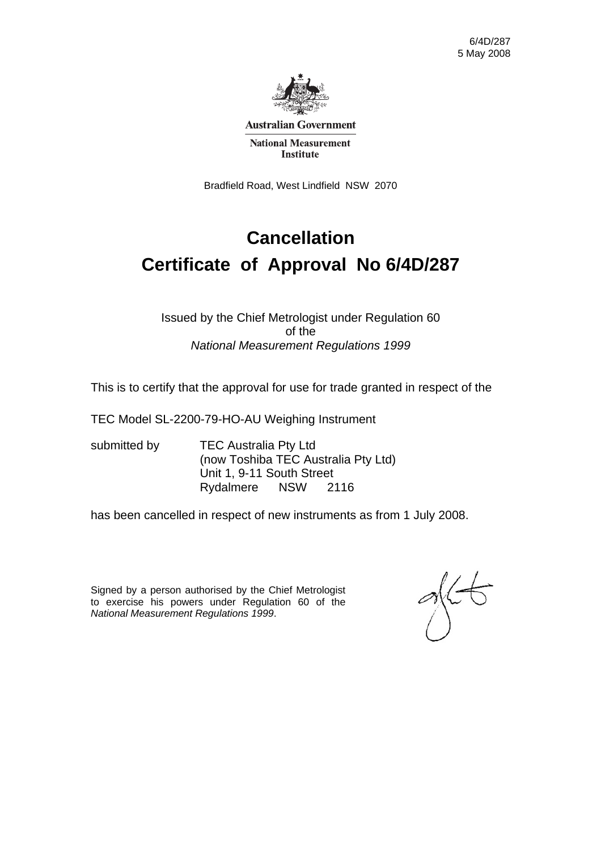

**Australian Government** 

**National Measurement Institute** 

Bradfield Road, West Lindfield NSW 2070

# **Cancellation Certificate of Approval No 6/4D/287**

#### Issued by the Chief Metrologist under Regulation 60 of the *National Measurement Regulations 1999*

This is to certify that the approval for use for trade granted in respect of the

TEC Model SL-2200-79-HO-AU Weighing Instrument

submitted by **TEC Australia Pty Ltd** (now Toshiba TEC Australia Pty Ltd) Unit 1, 9-11 South Street Rydalmere NSW 2116

has been cancelled in respect of new instruments as from 1 July 2008.

Signed by a person authorised by the Chief Metrologist to exercise his powers under Regulation 60 of the *National Measurement Regulations 1999*.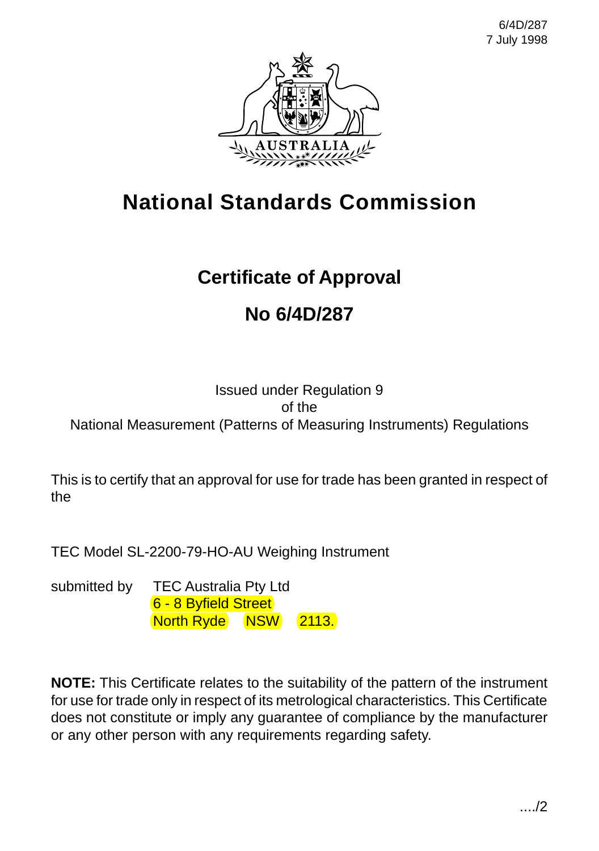

# **National Standards Commission**

# **Certificate of Approval**

# **No 6/4D/287**

#### Issued under Regulation 9 of the National Measurement (Patterns of Measuring Instruments) Regulations

This is to certify that an approval for use for trade has been granted in respect of the

TEC Model SL-2200-79-HO-AU Weighing Instrument

submitted by TEC Australia Pty Ltd 6 - 8 Byfield Street North Ryde NSW 2113.

**NOTE:** This Certificate relates to the suitability of the pattern of the instrument for use for trade only in respect of its metrological characteristics. This Certificate does not constitute or imply any guarantee of compliance by the manufacturer or any other person with any requirements regarding safety.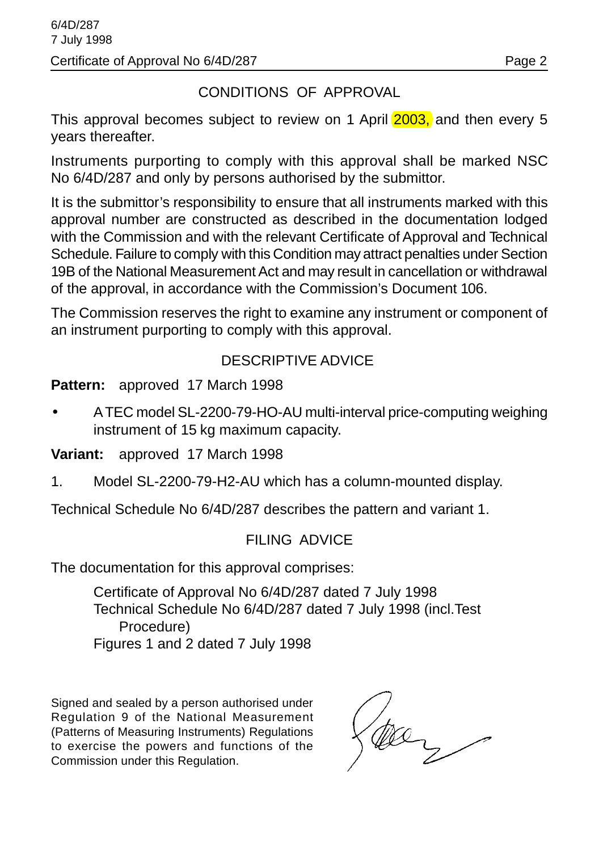### CONDITIONS OF APPROVAL

This approval becomes subject to review on 1 April 2003, and then every 5 years thereafter.

Instruments purporting to comply with this approval shall be marked NSC No 6/4D/287 and only by persons authorised by the submittor.

It is the submittor's responsibility to ensure that all instruments marked with this approval number are constructed as described in the documentation lodged with the Commission and with the relevant Certificate of Approval and Technical Schedule. Failure to comply with this Condition may attract penalties under Section 19B of the National Measurement Act and may result in cancellation or withdrawal of the approval, in accordance with the Commission's Document 106.

The Commission reserves the right to examine any instrument or component of an instrument purporting to comply with this approval.

#### DESCRIPTIVE ADVICE

**Pattern:** approved 17 March 1998

• A TEC model SL-2200-79-HO-AU multi-interval price-computing weighing instrument of 15 kg maximum capacity.

**Variant:** approved 17 March 1998

1. Model SL-2200-79-H2-AU which has a column-mounted display.

Technical Schedule No 6/4D/287 describes the pattern and variant 1.

#### FILING ADVICE

The documentation for this approval comprises:

Certificate of Approval No 6/4D/287 dated 7 July 1998 Technical Schedule No 6/4D/287 dated 7 July 1998 (incl.Test Procedure) Figures 1 and 2 dated 7 July 1998

Signed and sealed by a person authorised under Regulation 9 of the National Measurement (Patterns of Measuring Instruments) Regulations to exercise the powers and functions of the Commission under this Regulation.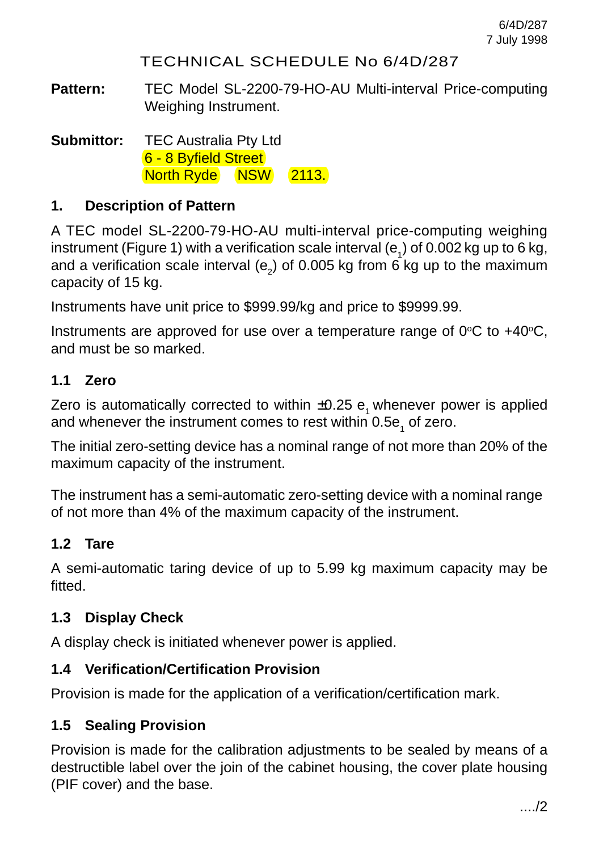#### TECHNICAL SCHEDULE No 6/4D/287

**Pattern:** TEC Model SL-2200-79-HO-AU Multi-interval Price-computing Weighing Instrument.

**Submittor:** TEC Australia Pty Ltd 6 - 8 Byfield Street North Ryde NSW 2113.

#### **1. Description of Pattern**

A TEC model SL-2200-79-HO-AU multi-interval price-computing weighing instrument (Figure 1) with a verification scale interval (e<sub>1</sub>) of 0.002 kg up to 6 kg, and a verification scale interval (e<sub>2</sub>) of 0.005 kg from 6 kg up to the maximum capacity of 15 kg.

Instruments have unit price to \$999.99/kg and price to \$9999.99.

Instruments are approved for use over a temperature range of  $0^{\circ}C$  to  $+40^{\circ}C$ , and must be so marked.

#### **1.1 Zero**

Zero is automatically corrected to within  $\pm 0.25$  e<sub>1</sub> whenever power is applied and whenever the instrument comes to rest within 0.5e<sub>1</sub> of zero.

The initial zero-setting device has a nominal range of not more than 20% of the maximum capacity of the instrument.

The instrument has a semi-automatic zero-setting device with a nominal range of not more than 4% of the maximum capacity of the instrument.

#### **1.2 Tare**

A semi-automatic taring device of up to 5.99 kg maximum capacity may be fitted.

#### **1.3 Display Check**

A display check is initiated whenever power is applied.

#### **1.4 Verification/Certification Provision**

Provision is made for the application of a verification/certification mark.

#### **1.5 Sealing Provision**

Provision is made for the calibration adjustments to be sealed by means of a destructible label over the join of the cabinet housing, the cover plate housing (PIF cover) and the base.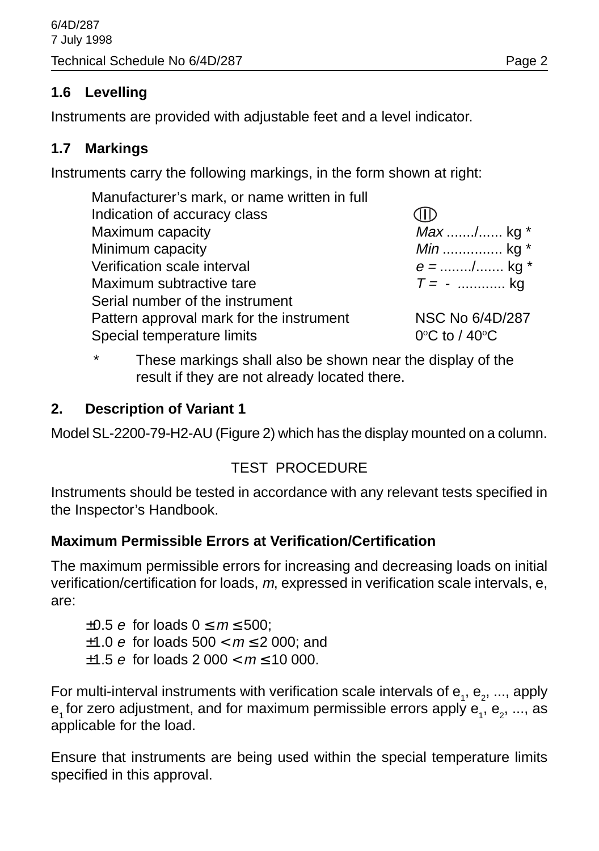#### **1.6 Levelling**

Instruments are provided with adjustable feet and a level indicator.

## **1.7 Markings**

Instruments carry the following markings, in the form shown at right:

| Manufacturer's mark, or name written in full |                   |
|----------------------------------------------|-------------------|
| Indication of accuracy class                 |                   |
| Maximum capacity                             | Max / kg *        |
| Minimum capacity                             | <i>Min</i> kg $*$ |
| Verification scale interval                  | $e =$ / kg *      |
| Maximum subtractive tare                     | $T = -$ kg        |
| Serial number of the instrument              |                   |
| Pattern approval mark for the instrument     | NSC No 6/4D/287   |
| Special temperature limits                   | 0°C to / 40°C     |
|                                              |                   |

These markings shall also be shown near the display of the result if they are not already located there.

## **2. Description of Variant 1**

Model SL-2200-79-H2-AU (Figure 2) which has the display mounted on a column.

## TEST PROCEDURE

Instruments should be tested in accordance with any relevant tests specified in the Inspector's Handbook.

## **Maximum Permissible Errors at Verification/Certification**

The maximum permissible errors for increasing and decreasing loads on initial verification/certification for loads, m, expressed in verification scale intervals, e, are:

 $\pm 0.5$  e for loads  $0 \le m \le 500$ :  $±1.0$  e for loads  $500 < m \le 2000$ ; and  $\pm 1.5$  e for loads 2 000 <  $m \le 10$  000.

For multi-interval instruments with verification scale intervals of  ${\sf e}_{_1},$   ${\sf e}_{_2},$  ..., apply  ${\sf e}_{\scriptscriptstyle 1}$ for zero adjustment, and for maximum permissible errors apply  ${\sf e}_{\scriptscriptstyle 1}^{} ,$   ${\sf e}_{\scriptscriptstyle 2}^{} ,$  ..., as applicable for the load.

Ensure that instruments are being used within the special temperature limits specified in this approval.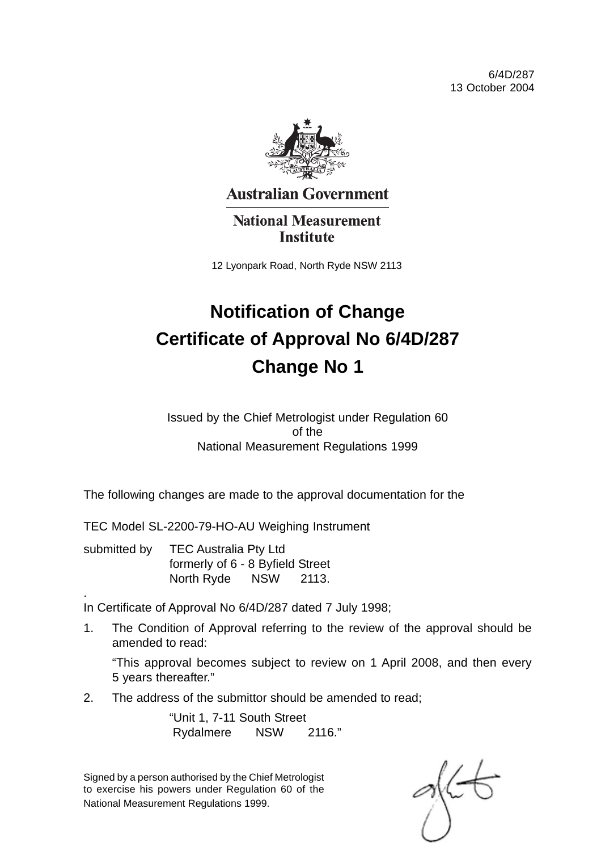6/4D/287 13 October 2004



**Australian Government** 

**National Measurement Institute** 

12 Lyonpark Road, North Ryde NSW 2113

# **Notification of Change Certificate of Approval No 6/4D/287 Change No 1**

Issued by the Chief Metrologist under Regulation 60 of the National Measurement Regulations 1999

The following changes are made to the approval documentation for the

TEC Model SL-2200-79-HO-AU Weighing Instrument

submitted by TEC Australia Pty Ltd formerly of 6 - 8 Byfield Street North Ryde NSW 2113.

. In Certificate of Approval No 6/4D/287 dated 7 July 1998;

1. The Condition of Approval referring to the review of the approval should be amended to read:

"This approval becomes subject to review on 1 April 2008, and then every 5 years thereafter."

2. The address of the submittor should be amended to read;

"Unit 1, 7-11 South Street Rydalmere NSW 2116."

Signed by a person authorised by the Chief Metrologist to exercise his powers under Regulation 60 of the National Measurement Regulations 1999.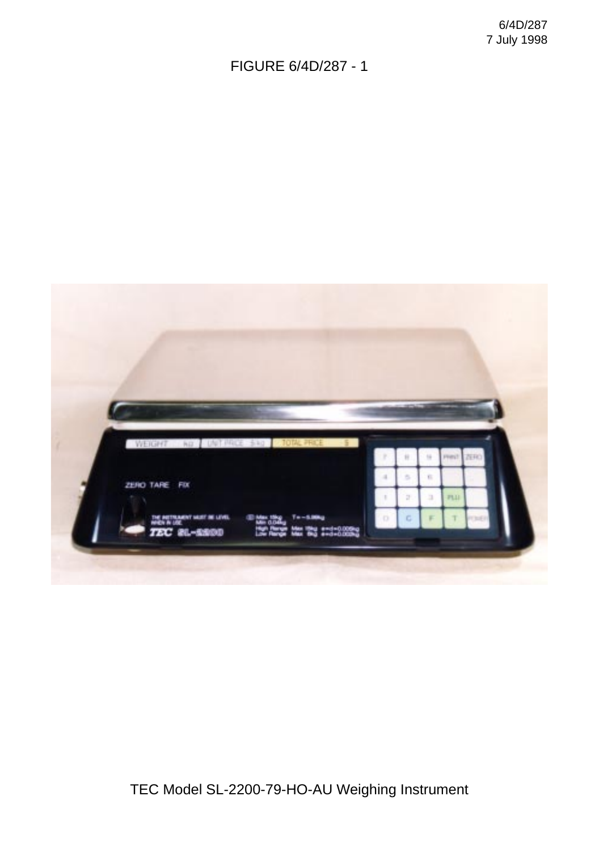FIGURE 6/4D/287 - 1